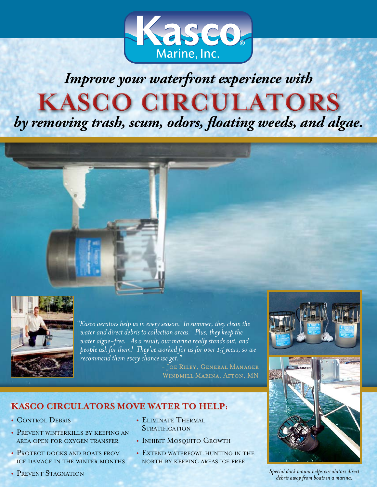

# *Improve your waterfront experience with by removing trash, scum, odors, floating weeds, and algae.* **KASCO CIRCULATORS**



*"Kasco aerators help us in every season. In summer, they clean the water and direct debris to collection areas. Plus, they keep the water algae-free. As a result, our marina really stands out, and people ask for them! They've worked for us for over 15 years, so we recommend them every chance we get."*

> - Joe Riley, General Manager Windmill Marina, Afton, MN

#### **Kasco circulators move water to help:**

- CONTROL DEBRIS
- **PREVENT WINTERKILLS BY KEEPING AN** area open for oxygen transfer
- **PROTECT DOCKS AND BOATS FROM** ice damage in the winter months
- ELIMINATE THERMAL **STRATIFICATION**
- INHIBIT MOSQUITO GROWTH
- EXTEND WATERFOWL HUNTING IN THE north by keeping areas ice free



*Special dock mount helps circulators direct debris away from boats in a marina.*

**• PREVENT STAGNATION**